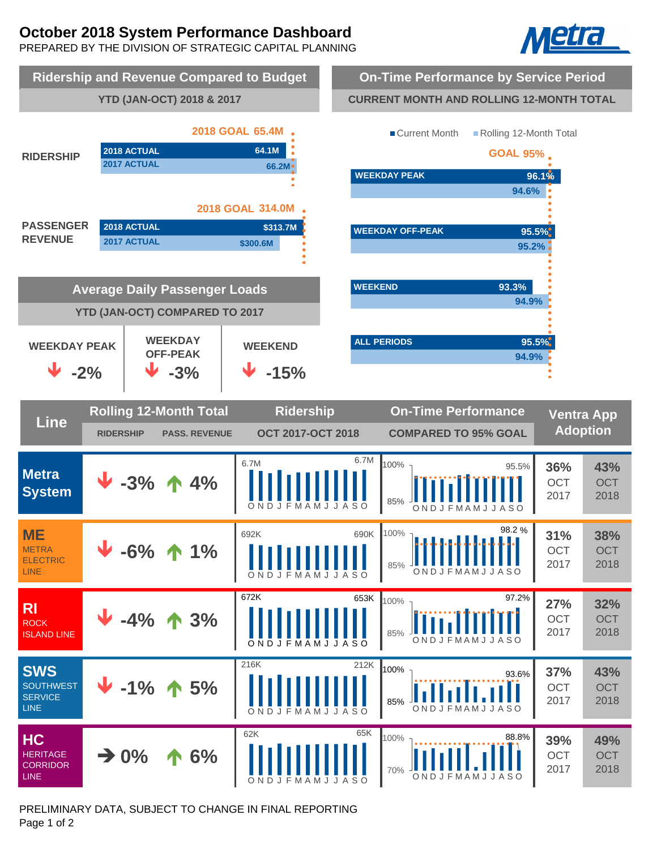# **October 2018 System Performance Dashboard**

PREPARED BY THE DIVISION OF STRATEGIC CAPITAL PLANNING





PRELIMINARY DATA, SUBJECT TO CHANGE IN FINAL REPORTING Page 1 of 2